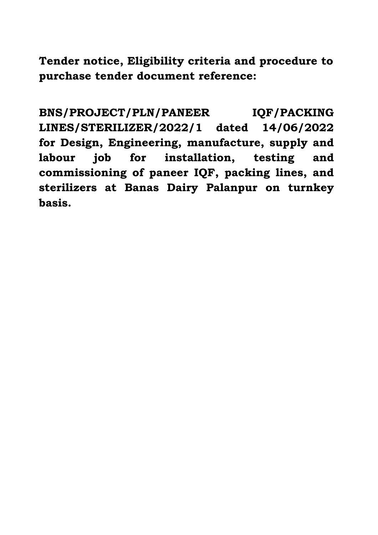**Tender notice, Eligibility criteria and procedure to purchase tender document reference:** 

**BNS/PROJECT/PLN/PANEER IQF/PACKING LINES/STERILIZER/2022/1 dated 14/06/2022 for Design, Engineering, manufacture, supply and labour job for installation, testing and commissioning of paneer IQF, packing lines, and sterilizers at Banas Dairy Palanpur on turnkey basis.**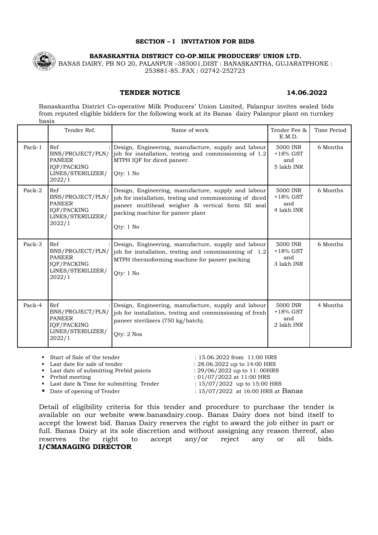#### **SECTION – I INVITATION FOR BIDS**



**BANASKANTHA DISTRICT CO-OP.MILK PRODUCERS' UNION LTD.**

BANAS DAIRY, PB NO 20, PALANPUR –385001,DIST : BANASKANTHA, GUJARATPHONE : 253881-85..FAX : 02742-252723

#### **TENDER NOTICE 14.06.2022**

Banaskantha District Co-operative Milk Producers' Union Limited, Palanpur invites sealed bids from reputed eligible bidders for the following work at its Banas dairy Palanpur plant on turnkey basis

|        | Tender Ref.                                                                            | Name of work                                                                                                                                                                                                           | Tender Fee &<br>E.M.D.                       | Time Period |
|--------|----------------------------------------------------------------------------------------|------------------------------------------------------------------------------------------------------------------------------------------------------------------------------------------------------------------------|----------------------------------------------|-------------|
| Pack-1 | Ref<br>BNS/PROJECT/PLN/<br><b>PANEER</b><br>IQF/PACKING<br>LINES/STERILIZER/<br>2022/1 | Design, Engineering, manufacture, supply and labour<br>job for installation, testing and commissioning of 1.2<br>MTPH IQF for diced paneer.<br>Otv: 1 No                                                               | 5000 INR<br>$+18\%$ GST<br>and<br>5 lakh INR | 6 Months    |
| Pack-2 | Ref<br>BNS/PROJECT/PLN/<br><b>PANEER</b><br>IQF/PACKING<br>LINES/STERILIZER/<br>2022/1 | Design, Engineering, manufacture, supply and labour<br>job for installation, testing and commissioning of diced<br>paneer multihead weigher & vertical form fill seal<br>packing machine for paneer plant<br>Oty: 1 No | 5000 INR<br>$+18\%$ GST<br>and<br>4 lakh INR | 6 Months    |
| Pack-3 | Ref<br>BNS/PROJECT/PLN/<br><b>PANEER</b><br>IQF/PACKING<br>LINES/STERILIZER/<br>2022/1 | Design, Engineering, manufacture, supply and labour<br>job for installation, testing and commissioning of 1.2<br>MTPH thermoforming machine for paneer packing<br>Oty: 1 No                                            | 5000 INR<br>$+18\%$ GST<br>and<br>3 lakh INR | 6 Months    |
| Pack-4 | Ref<br>BNS/PROJECT/PLN/<br><b>PANEER</b><br>IOF/PACKING<br>LINES/STERILIZER/<br>2022/1 | Design, Engineering, manufacture, supply and labour<br>job for installation, testing and commissioning of fresh<br>paneer sterilizers (750 kg/batch).<br>Otv: 2 Nos                                                    | 5000 INR<br>$+18\%$ GST<br>and<br>2 lakh INR | 4 Months    |

| ■ Start of Sale of the tender            | $: 15.06.2022$ from $11:00$ HRS    |
|------------------------------------------|------------------------------------|
| • Last date for sale of tender           | : $28.06.2022$ up to $14:00$ HRS   |
| • Last date of submitting Prebid points  | : $29/06/2022$ up to 11: 00HRS     |
| • Prebid meeting                         | : $01/07/2022$ at 11:00 HRS        |
| • Last date & Time for submitting Tender | : $15/07/2022$ up to 15:00 HRS     |
| • Date of opening of Tender              | : 15/07/2022 at 16:00 HRS at Banas |
|                                          |                                    |

Detail of eligibility criteria for this tender and procedure to purchase the tender is available on our website www.banasdairy.coop. Banas Dairy does not bind itself to accept the lowest bid. Banas Dairy reserves the right to award the job either in part or full. Banas Dairy at its sole discretion and without assigning any reason thereof, also reserves the right to accept any/or reject any or all bids. **I/CMANAGING DIRECTOR**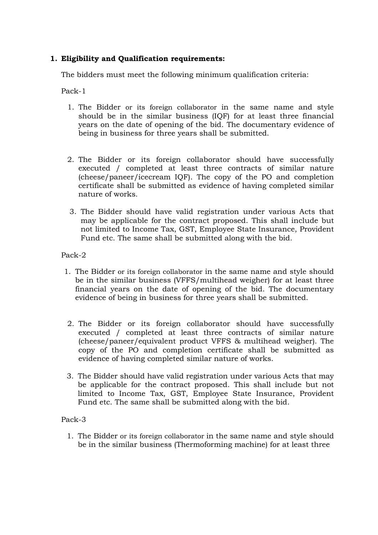#### **1. Eligibility and Qualification requirements:**

The bidders must meet the following minimum qualification criteria:

Pack-1

- 1. The Bidder or its foreign collaborator in the same name and style should be in the similar business (IQF) for at least three financial years on the date of opening of the bid. The documentary evidence of being in business for three years shall be submitted.
- 2. The Bidder or its foreign collaborator should have successfully executed / completed at least three contracts of similar nature (cheese/paneer/icecream IQF). The copy of the PO and completion certificate shall be submitted as evidence of having completed similar nature of works.
- 3. The Bidder should have valid registration under various Acts that may be applicable for the contract proposed. This shall include but not limited to Income Tax, GST, Employee State Insurance, Provident Fund etc. The same shall be submitted along with the bid.

#### Pack-2

- 1. The Bidder or its foreign collaborator in the same name and style should be in the similar business (VFFS/multihead weigher) for at least three financial years on the date of opening of the bid. The documentary evidence of being in business for three years shall be submitted.
- 2. The Bidder or its foreign collaborator should have successfully executed / completed at least three contracts of similar nature (cheese/paneer/equivalent product VFFS & multihead weigher). The copy of the PO and completion certificate shall be submitted as evidence of having completed similar nature of works.
- 3. The Bidder should have valid registration under various Acts that may be applicable for the contract proposed. This shall include but not limited to Income Tax, GST, Employee State Insurance, Provident Fund etc. The same shall be submitted along with the bid.

#### Pack-3

1. The Bidder or its foreign collaborator in the same name and style should be in the similar business (Thermoforming machine) for at least three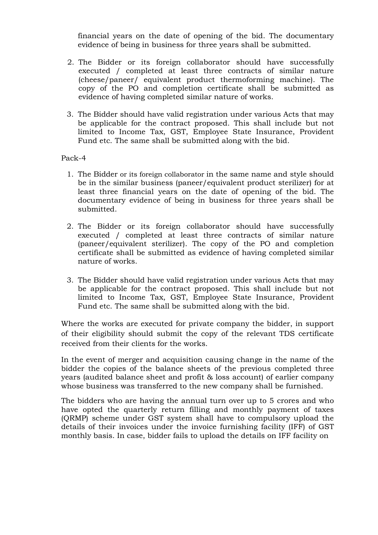financial years on the date of opening of the bid. The documentary evidence of being in business for three years shall be submitted.

- 2. The Bidder or its foreign collaborator should have successfully executed / completed at least three contracts of similar nature (cheese/paneer/ equivalent product thermoforming machine). The copy of the PO and completion certificate shall be submitted as evidence of having completed similar nature of works.
- 3. The Bidder should have valid registration under various Acts that may be applicable for the contract proposed. This shall include but not limited to Income Tax, GST, Employee State Insurance, Provident Fund etc. The same shall be submitted along with the bid.

#### Pack-4

- 1. The Bidder or its foreign collaborator in the same name and style should be in the similar business (paneer/equivalent product sterilizer) for at least three financial years on the date of opening of the bid. The documentary evidence of being in business for three years shall be submitted.
- 2. The Bidder or its foreign collaborator should have successfully executed / completed at least three contracts of similar nature (paneer/equivalent sterilizer). The copy of the PO and completion certificate shall be submitted as evidence of having completed similar nature of works.
- 3. The Bidder should have valid registration under various Acts that may be applicable for the contract proposed. This shall include but not limited to Income Tax, GST, Employee State Insurance, Provident Fund etc. The same shall be submitted along with the bid.

Where the works are executed for private company the bidder, in support of their eligibility should submit the copy of the relevant TDS certificate received from their clients for the works.

In the event of merger and acquisition causing change in the name of the bidder the copies of the balance sheets of the previous completed three years (audited balance sheet and profit & loss account) of earlier company whose business was transferred to the new company shall be furnished.

The bidders who are having the annual turn over up to 5 crores and who have opted the quarterly return filling and monthly payment of taxes (QRMP) scheme under GST system shall have to compulsory upload the details of their invoices under the invoice furnishing facility (IFF) of GST monthly basis. In case, bidder fails to upload the details on IFF facility on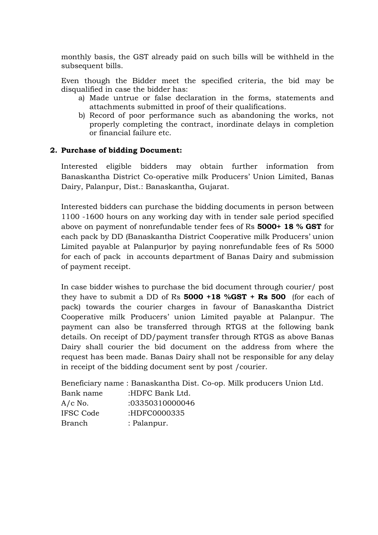monthly basis, the GST already paid on such bills will be withheld in the subsequent bills.

Even though the Bidder meet the specified criteria, the bid may be disqualified in case the bidder has:

- a) Made untrue or false declaration in the forms, statements and attachments submitted in proof of their qualifications.
- b) Record of poor performance such as abandoning the works, not properly completing the contract, inordinate delays in completion or financial failure etc.

#### **2. Purchase of bidding Document:**

Interested eligible bidders may obtain further information from Banaskantha District Co-operative milk Producers' Union Limited, Banas Dairy, Palanpur, Dist.: Banaskantha, Gujarat.

Interested bidders can purchase the bidding documents in person between 1100 -1600 hours on any working day with in tender sale period specified above on payment of nonrefundable tender fees of Rs **5000+ 18 % GST** for each pack by DD (Banaskantha District Cooperative milk Producers' union Limited payable at Palanpur)or by paying nonrefundable fees of Rs 5000 for each of pack in accounts department of Banas Dairy and submission of payment receipt.

In case bidder wishes to purchase the bid document through courier/ post they have to submit a DD of Rs **5000 +18 %GST + Rs 500** (for each of pack) towards the courier charges in favour of Banaskantha District Cooperative milk Producers' union Limited payable at Palanpur. The payment can also be transferred through RTGS at the following bank details. On receipt of DD/payment transfer through RTGS as above Banas Dairy shall courier the bid document on the address from where the request has been made. Banas Dairy shall not be responsible for any delay in receipt of the bidding document sent by post /courier.

Beneficiary name : Banaskantha Dist. Co-op. Milk producers Union Ltd. Bank name :HDFC Bank Ltd. A/c No. :03350310000046 IFSC Code :HDFC0000335 Branch : Palanpur.